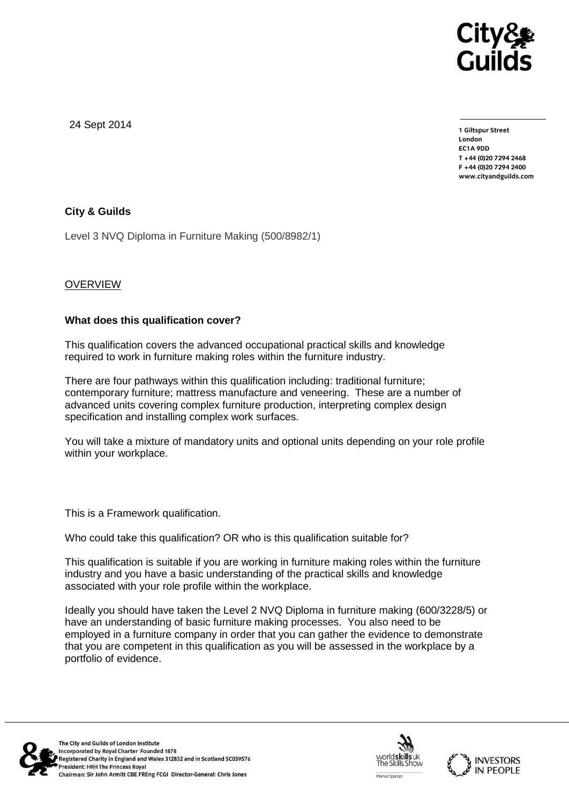

24 Sept 2014

**1 Giltspur Street EC1A 9DD** T +44 (0) 20 7 294 2468 **T +44 (0)20 7294 246[8](http://www.cityandguilds.com/) F +44 (0)20 7294 2400 [www.cityandguilds.com](http://www.cityandguilds.com/)**

# **City & Guilds**

Level 3 NVQ Diploma in Furniture Making (500/8982/1)

# **OVERVIEW**

### **What does this qualification cover?**

This qualification covers the advanced occupational practical skills and knowledge required to work in furniture making roles within the furniture industry.

There are four pathways within this qualification including: traditional furniture; contemporary furniture; mattress manufacture and veneering. These are a number of advanced units covering complex furniture production, interpreting complex design specification and installing complex work surfaces.

You will take a mixture of mandatory units and optional units depending on your role profile within your workplace.

This is a Framework qualification.

Who could take this qualification? OR who is this qualification suitable for?

This qualification is suitable if you are working in furniture making roles within the furniture industry and you have a basic understanding of the practical skills and knowledge associated with your role profile within the workplace.

Ideally you should have taken the Level 2 NVQ Diploma in furniture making (600/3228/5) or have an understanding of basic furniture making processes. You also need to be employed in a furniture company in order that you can gather the evidence to demonstrate that you are competent in this qualification as you will be assessed in the workplace by a portfolio of evidence.